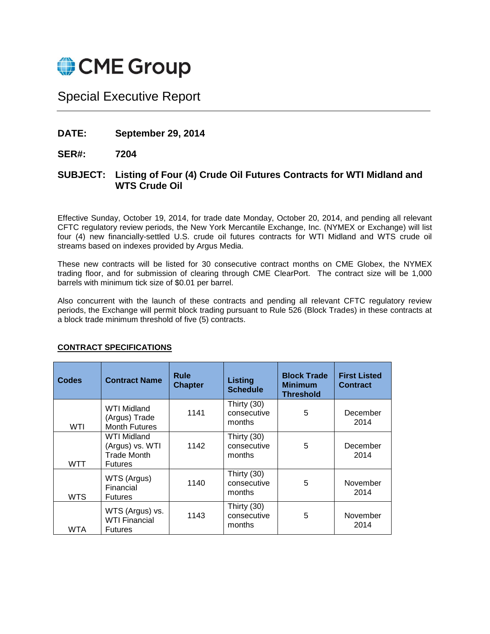

# Special Executive Report

**DATE: September 29, 2014**

**SER#: 7204**

## **SUBJECT: Listing of Four (4) Crude Oil Futures Contracts for WTI Midland and WTS Crude Oil**

Effective Sunday, October 19, 2014, for trade date Monday, October 20, 2014, and pending all relevant CFTC regulatory review periods, the New York Mercantile Exchange, Inc. (NYMEX or Exchange) will list four (4) new financially-settled U.S. crude oil futures contracts for WTI Midland and WTS crude oil streams based on indexes provided by Argus Media.

These new contracts will be listed for 30 consecutive contract months on CME Globex, the NYMEX trading floor, and for submission of clearing through CME ClearPort. The contract size will be 1,000 barrels with minimum tick size of \$0.01 per barrel.

Also concurrent with the launch of these contracts and pending all relevant CFTC regulatory review periods, the Exchange will permit block trading pursuant to Rule 526 (Block Trades) in these contracts at a block trade minimum threshold of five (5) contracts.

| Codes      | <b>Contract Name</b>                                                   | <b>Rule</b><br><b>Chapter</b> | <b>Listing</b><br><b>Schedule</b>    | <b>Block Trade</b><br><b>Minimum</b><br><b>Threshold</b> | <b>First Listed</b><br><b>Contract</b> |
|------------|------------------------------------------------------------------------|-------------------------------|--------------------------------------|----------------------------------------------------------|----------------------------------------|
| WTI        | WTI Midland<br>(Argus) Trade<br><b>Month Futures</b>                   | 1141                          | Thirty (30)<br>consecutive<br>months | 5                                                        | December<br>2014                       |
| WTT        | <b>WTI Midland</b><br>(Argus) vs. WTI<br>Trade Month<br><b>Futures</b> | 1142                          | Thirty (30)<br>consecutive<br>months | 5                                                        | December<br>2014                       |
| <b>WTS</b> | WTS (Argus)<br>Financial<br><b>Futures</b>                             | 1140                          | Thirty (30)<br>consecutive<br>months | 5                                                        | November<br>2014                       |
| WTA        | WTS (Argus) vs.<br><b>WTI Financial</b><br><b>Futures</b>              | 1143                          | Thirty (30)<br>consecutive<br>months | 5                                                        | November<br>2014                       |

## **CONTRACT SPECIFICATIONS**